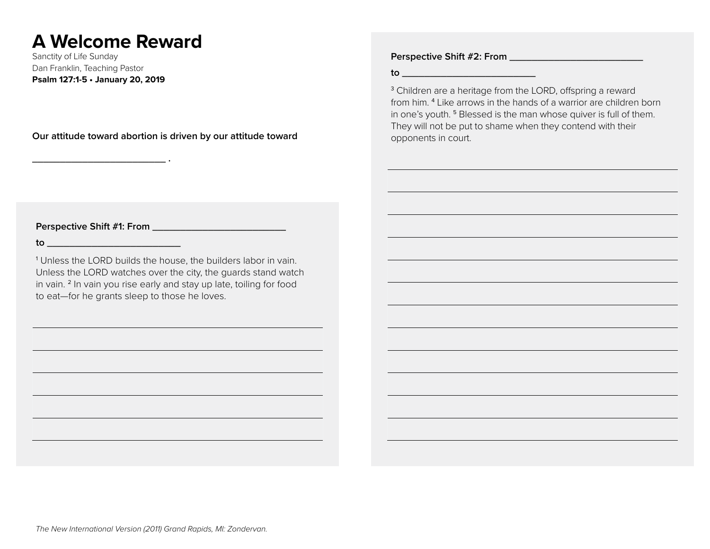# **A Welcome Reward**

Sanctity of Life Sunday Dan Franklin, Teaching Pastor **Psalm 127:1-5 • January 20, 2019**

**\_\_\_\_\_\_\_\_\_\_\_\_\_\_\_\_\_\_\_\_\_\_\_\_ .** 

**Our attitude toward abortion is driven by our attitude toward** 

**Perspective Shift #2: From \_\_\_\_\_\_\_\_\_\_\_\_\_\_\_\_\_\_\_\_\_\_\_\_**

**to \_\_\_\_\_\_\_\_\_\_\_\_\_\_\_\_\_\_\_\_\_\_\_\_**

<sup>3</sup> Children are a heritage from the LORD, offspring a reward from him. <sup>4</sup> Like arrows in the hands of a warrior are children born in one's youth. <sup>5</sup> Blessed is the man whose quiver is full of them. They will not be put to shame when they contend with their opponents in court.

**Perspective Shift #1: From \_\_\_\_\_\_\_\_\_\_\_\_\_\_\_\_\_\_\_\_\_\_\_\_**

**to \_\_\_\_\_\_\_\_\_\_\_\_\_\_\_\_\_\_\_\_\_\_\_\_**

<sup>1</sup> Unless the LORD builds the house, the builders labor in vain. Unless the LORD watches over the city, the guards stand watch in vain. <sup>2</sup> In vain you rise early and stay up late, toiling for food to eat—for he grants sleep to those he loves.